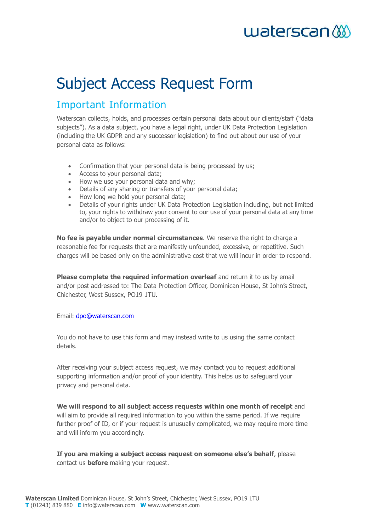# waterscan

# Subject Access Request Form

### Important Information

Waterscan collects, holds, and processes certain personal data about our clients/staff ("data subjects"). As a data subject, you have a legal right, under UK Data Protection Legislation (including the UK GDPR and any successor legislation) to find out about our use of your personal data as follows:

- Confirmation that your personal data is being processed by us;
- Access to your personal data;
- How we use your personal data and why;
- Details of any sharing or transfers of your personal data;
- How long we hold your personal data:
- Details of your rights under UK Data Protection Legislation including, but not limited to, your rights to withdraw your consent to our use of your personal data at any time and/or to object to our processing of it.

**No fee is payable under normal circumstances**. We reserve the right to charge a reasonable fee for requests that are manifestly unfounded, excessive, or repetitive. Such charges will be based only on the administrative cost that we will incur in order to respond.

**Please complete the required information overleaf** and return it to us by email and/or post addressed to: The Data Protection Officer, Dominican House, St John's Street, Chichester, West Sussex, PO19 1TU.

Email: [dpo@waterscan.com](mailto:dpo@waterscan.com)

You do not have to use this form and may instead write to us using the same contact details.

After receiving your subject access request, we may contact you to request additional supporting information and/or proof of your identity. This helps us to safeguard your privacy and personal data.

**We will respond to all subject access requests within one month of receipt** and will aim to provide all required information to you within the same period. If we require further proof of ID, or if your request is unusually complicated, we may require more time and will inform you accordingly.

**If you are making a subject access request on someone else's behalf**, please contact us **before** making your request.